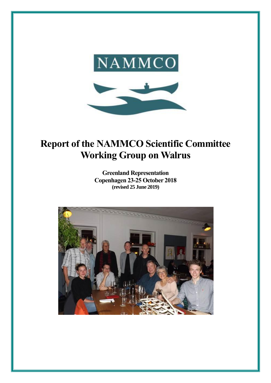

# **Report of the NAMMCO Scientific Committee Working Group on Walrus**

**Greenland Representation Copenhagen 23-25 October 2018 (revised 25 June 2019)**

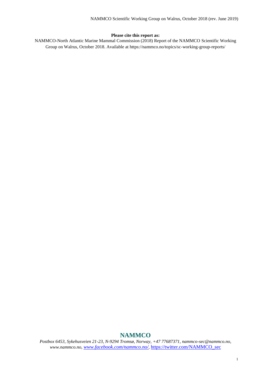#### **Please cite this report as:**

NAMMCO-North Atlantic Marine Mammal Commission (2018) Report of the NAMMCO Scientific Working Group on Walrus, October 2018. Available at https://nammco.no/topics/sc-working-group-reports/

# **NAMMCO**

*Postbox 6453, Sykehusveien 21-23, N-9294 Tromsø, Norway, +47 77687371, nammco-sec@nammco.no, www.nammco.no, [www.facebook.com/nammco.no/](http://www.facebook.com/nammco.no/),* [https://twitter.com/NAMMCO\\_sec](https://twitter.com/NAMMCO_sec)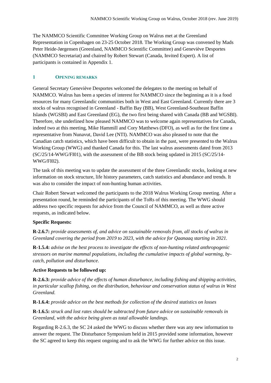The NAMMCO Scientific Committee Working Group on Walrus met at the Greenland Representation in Copenhagen on 23-25 October 2018. The Working Group was convened by Mads Peter Heide-Jørgensen (Greenland, NAMMCO Scientific Committee) and Geneviève Desportes (NAMMCO Secretariat) and chaired by Robert Stewart (Canada, Invited Expert). A list of participants is contained in Appendix 1.

# **1 OPENING REMARKS**

General Secretary Geneviève Desportes welcomed the delegates to the meeting on behalf of NAMMCO. Walrus has been a species of interest for NAMMCO since the beginning as it is a food resources for many Greenlandic communities both in West and East Greenland. Currently there are 3 stocks of walrus recognised in Greenland - Baffin Bay (BB), West Greenland-Southeast Baffin Islands (WGSBI) and East Greenland (EG), the two first being shared with Canada (BB and WGSBI). Therefore, she underlined how pleased NAMMCO was to welcome again representatives for Canada, indeed two at this meeting, Mike Hammill and Cory Matthews (DFO), as well as for the first time a representative from Nunavut, David Lee (NTI). NAMMCO was also pleased to note that the Canadian catch statistics, which have been difficult to obtain in the past, were presented to the Walrus Working Group (WWG) and thanked Canada for this. The last walrus assessments dated from 2013 (SC/25/14-WWG/FI01), with the assessment of the BB stock being updated in 2015 (SC/25/14- WWG/FI02).

The task of this meeting was to update the assessment of the three Greenlandic stocks, looking at new information on stock structure, life history parameters, catch statistics and abundance and trends. It was also to consider the impact of non-hunting human activities.

Chair Robert Stewart welcomed the participants to the 2018 Walrus Working Group meeting. After a presentation round, he reminded the participants of the ToRs of this meeting. The WWG should address two specific requests for advice from the Council of NAMMCO, as well as three active requests, as indicated below.

# **Specific Requests:**

**R-2.6.7:** *provide assessments of, and advice on sustainable removals from, all stocks of walrus in Greenland covering the period from 2019 to 2023, with the advice for Qaanaaq starting in 2021.*

**R-1.5.4:** *advise on the best process to investigate the effects of non-hunting related anthropogenic stressors on marine mammal populations, including the cumulative impacts of global warming, bycatch, pollution and disturbance.*

#### **Active Requests to be followed up:**

**R-2.6.3:** *provide advice of the effects of human disturbance, including fishing and shipping activities, in particular scallop fishing, on the distribution, behaviour and conservation status of walrus in West Greenland.* 

**R-1.6.4:** *provide advice on the best methods for collection of the desired statistics on losses* 

**R-1.6.5:** *struck and lost rates should be subtracted from future advice on sustainable removals in Greenland, with the advice being given as total allowable landings.*

Regarding R-2.6.3, the SC 24 asked the WWG to discuss whether there was any new information to answer the request. The Disturbance Symposium held in 2015 provided some information, however the SC agreed to keep this request ongoing and to ask the WWG for further advice on this issue.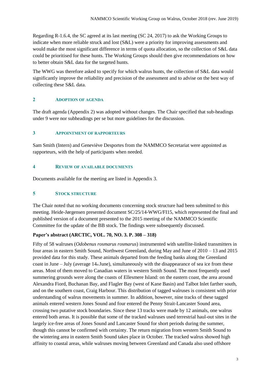Regarding R-1.6.4, the SC agreed at its last meeting (SC 24, 2017) to ask the Working Groups to indicate when more reliable struck and lost (S&L) were a priority for improving assessments and would make the most significant difference in terms of quota allocation, so the collection of S&L data could be prioritised for these hunts. The Working Groups should then give recommendations on how to better obtain S&L data for the targeted hunts.

The WWG was therefore asked to specify for which walrus hunts, the collection of S&L data would significantly improve the reliability and precision of the assessment and to advise on the best way of collecting these S&L data.

# **2 ADOPTION OF AGENDA**

The draft agenda (Appendix 2) was adopted without changes. The Chair specified that sub-headings under 9 were nor subheadings per se but more guidelines for the discussion.

## **3 APPOINTMENT OF RAPPORTEURS**

Sam Smith (Intern) and Geneviève Desportes from the NAMMCO Secretariat were appointed as rapporteurs, with the help of participants when needed.

# **4 REVIEW OF AVAILABLE DOCUMENTS**

Documents available for the meeting are listed in Appendix 3.

#### **5 STOCK STRUCTURE**

The Chair noted that no working documents concerning stock structure had been submitted to this meeting. Heide-Jørgensen presented document SC/25/14-WWG/FI15, which represented the final and published version of a document presented to the 2015 meeting of the NAMMCO Scientific Committee for the update of the BB stock. The findings were subsequently discussed.

#### **Paper's abstract (ARCTIC, VOL. 70, NO. 3. P. 308 – 318)**

Fifty of 58 walruses (*Odobenus rosmarus rosmarus*) instrumented with satellite-linked transmitters in four areas in eastern Smith Sound, Northwest Greenland, during May and June of 2010 – 13 and 2015 provided data for this study. These animals departed from the feeding banks along the Greenland coast in June – July (average  $14<sub>th</sub>$  June), simultaneously with the disappearance of sea ice from these areas. Most of them moved to Canadian waters in western Smith Sound. The most frequently used summering grounds were along the coasts of Ellesmere Island: on the eastern coast, the area around Alexandra Fiord, Buchanan Bay, and Flagler Bay (west of Kane Basin) and Talbot Inlet farther south, and on the southern coast, Craig Harbour. This distribution of tagged walruses is consistent with prior understanding of walrus movements in summer. In addition, however, nine tracks of these tagged animals entered western Jones Sound and four entered the Penny Strait-Lancaster Sound area, crossing two putative stock boundaries. Since these 13 tracks were made by 12 animals, one walrus entered both areas. It is possible that some of the tracked walruses used terrestrial haul-out sites in the largely ice-free areas of Jones Sound and Lancaster Sound for short periods during the summer, though this cannot be confirmed with certainty. The return migration from western Smith Sound to the wintering area in eastern Smith Sound takes place in October. The tracked walrus showed high affinity to coastal areas, while walruses moving between Greenland and Canada also used offshore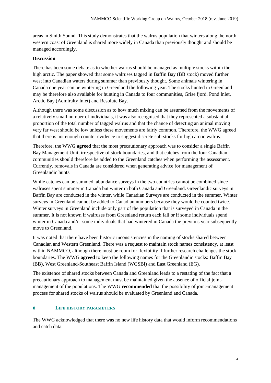areas in Smith Sound. This study demonstrates that the walrus population that winters along the north western coast of Greenland is shared more widely in Canada than previously thought and should be managed accordingly.

## **Discussion**

There has been some debate as to whether walrus should be managed as multiple stocks within the high arctic. The paper showed that some walruses tagged in Baffin Bay (BB stock) moved further west into Canadian waters during summer than previously thought. Some animals wintering in Canada one year can be wintering in Greenland the following year. The stocks hunted in Greenland may be therefore also available for hunting in Canada to four communities, Grise fjord, Pond Inlet, Arctic Bay (Admiralty Inlet) and Resolute Bay.

Although there was some discussion as to how much mixing can be assumed from the movements of a relatively small number of individuals, it was also recognised that they represented a substantial proportion of the total number of tagged walrus and that the chance of detecting an animal moving very far west should be low unless these movements are fairly common. Therefore, the WWG agreed that there is not enough counter evidence to suggest discrete sub-stocks for high arctic walrus.

Therefore, the WWG **agreed** that the most precautionary approach was to consider a single Baffin Bay Management Unit, irrespective of stock boundaries, and that catches from the four Canadian communities should therefore be added to the Greenland catches when performing the assessment. Currently, removals in Canada are considered when generating advice for management of Greenlandic hunts.

While catches can be summed, abundance surveys in the two countries cannot be combined since walruses spent summer in Canada but winter in both Canada and Greenland. Greenlandic surveys in Baffin Bay are conducted in the winter, while Canadian Surveys are conducted in the summer. Winter surveys in Greenland cannot be added to Canadian numbers because they would be counted twice. Winter surveys in Greenland include only part of the population that is surveyed in Canada in the summer. It is not known if walruses from Greenland return each fall or if some individuals spend winter in Canada and/or some individuals that had wintered in Canada the previous year subsequently move to Greenland.

It was noted that there have been historic inconsistencies in the naming of stocks shared between Canadian and Western Greenland. There was a request to maintain stock names consistency, at least within NAMMCO, although there must be room for flexibility if further research challenges the stock boundaries. The WWG **agreed** to keep the following names for the Greenlandic stocks: Baffin Bay (BB), West Greenland-Southeast Baffin Island (WGSBI) and East Greenland (EG).

The existence of shared stocks between Canada and Greenland leads to a restating of the fact that a precautionary approach to management must be maintained given the absence of official jointmanagement of the populations. The WWG **recommended** that the possibility of joint-management process for shared stocks of walrus should be evaluated by Greenland and Canada.

# **6 LIFE HISTORY PARAMETERS**

The WWG acknowledged that there was no new life history data that would inform recommendations and catch data.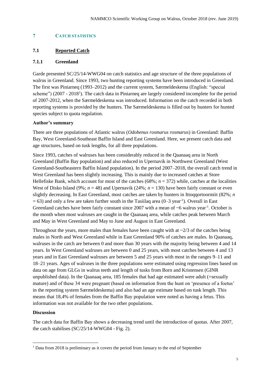#### **7 CATCH STATISTICS**

# **7.1 Reported Catch**

#### **7.1.1 Greenland**

Garde presented SC/25/14-WWG04 on catch statistics and age structure of the three populations of walrus in Greenland. Since 1993, two hunting reporting systems have been introduced in Greenland. The first was Piniarneq (1993–2012) and the current system, Særmeldeskema (English: "special scheme") (2007 - 2018<sup>1</sup>). The catch data in Piniarneq are largely considered incomplete for the period of 2007-2012, when the Særmeldeskema was introduced. Information on the catch recorded in both reporting systems is provided by the hunters. The Særmeldeskema is filled out by hunters for hunted species subject to quota regulation.

#### **Author's summary**

There are three populations of Atlantic walrus (*Odobenus rosmarus rosmarus*) in Greenland: Baffin Bay, West Greenland-Southeast Baffin Island and East Greenland. Here, we present catch data and age structures, based on tusk lengths, for all three populations.

Since 1993, catches of walruses has been considerably reduced in the Qaanaaq area in North Greenland (Baffin Bay population) and also reduced in Upernavik in Northwest Greenland (West Greenland-Southeastern Baffin Island population). In the period 2007–2018, the overall catch trend in West Greenland has been slightly increasing. This is mainly due to increased catches at Store Hellefiske Bank, which account for most of the catches (68%; *n* = 372) while, catches at the localities West of Disko Island (9%;  $n = 48$ ) and Upernavik (24%;  $n = 130$ ) have been fairly constant or even slightly decreasing. In East Greenland, most catches are taken by hunters in Ittoqqortoormiit (82%; *n*  $= 63$ ) and only a few are taken further south in the Tasiilaq area  $(0-3 \text{ year}^{-1})$ . Overall in East Greenland catches have been fairly constant since 2007 with a mean of  $~6$  walrus year<sup>-1</sup>. October is the month when most walruses are caught in the Qaanaaq area, while catches peak between March and May in West Greenland and May to June and August in East Greenland.

Throughout the years, more males than females have been caught with at  $\sim$ 2/3 of the catches being males in North and West Greenland while in East Greenland 90% of catches are males. In Qaanaaq, walruses in the catch are between 0 and more than 30 years with the majority being between 4 and 14 years. In West Greenland walruses are between 0 and 25 years, with most catches between 4 and 13 years and in East Greenland walruses are between 5 and 25 years with most in the ranges 9–11 and 18–21 years. Ages of walruses in the three populations were estimated using regression lines based on data on age from GLGs in walrus teeth and length of tusks from Born and Kristensen (GINR unpublished data). In the Qaanaaq area, 185 females that had age estimated were adult (=sexually mature) and of these 34 were pregnant (based on information from the hunt on 'presence of a foetus' in the reporting system Særmeldeskema) and also had an age estimate based on tusk length. This means that 18,4% of females from the Baffin Bay population were noted as having a fetus. This information was not available for the two other populations.

#### **Discussion**

1

The catch data for Baffin Bay shows a decreasing trend until the introduction of quotas. After 2007, the catch stabilises (SC/25/14-WWG04 - Fig. 2).

<sup>&</sup>lt;sup>1</sup> Data from 2018 is preliminary as it covers the period from January to the end of September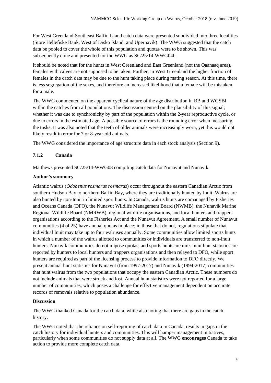For West Greenland-Southeast Baffin Island catch data were presented subdivided into three localities (Store Hellefiske Bank, West of Disko Island, and Upernavik). The WWG suggested that the catch data be pooled to cover the whole of this population and quotas were to be shown. This was subsequently done and presented for the WWG as SC/25/14-WWG04b.

It should be noted that for the hunts in West Greenland and East Greenland (not the Qaanaaq area), females with calves are not supposed to be taken. Further, in West Greenland the higher fraction of females in the catch data may be due to the hunt taking place during mating season. At this time, there is less segregation of the sexes, and therefore an increased likelihood that a female will be mistaken for a male.

The WWG commented on the apparent cyclical nature of the age distribution in BB and WGSBI within the catches from all populations. The discussion centred on the plausibility of this signal; whether it was due to synchronicity by part of the population within the 2-year reproductive cycle, or due to errors in the estimated age. A possible source of errors is the rounding error when measuring the tusks. It was also noted that the teeth of older animals were increasingly worn, yet this would not likely result in error for 7 or 8-year-old animals.

The WWG considered the importance of age structure data in each stock analysis (Section 9).

# **7.1.2 Canada**

Matthews presented SC/25/14-WWG08 compiling catch data for Nunavut and Nunavik.

# **Author's summary**

Atlantic walrus (*Odobenus rosmarus rosmarus*) occur throughout the eastern Canadian Arctic from southern Hudson Bay to northern Baffin Bay, where they are traditionally hunted by Inuit. Walrus are also hunted by non-Inuit in limited sport hunts. In Canada, walrus hunts are comanaged by Fisheries and Oceans Canada (DFO), the Nunavut Wildlife Management Board (NWMB), the Nunavik Marine Regional Wildlife Board (NMRWB), regional wildlife organisations, and local hunters and trappers organisations according to the Fisheries Act and the Nunavut Agreement. A small number of Nunavut communities (4 of 25) have annual quotas in place; in those that do not, regulations stipulate that individual Inuit may take up to four walruses annually. Some communities allow limited sports hunts in which a number of the walrus allotted to communities or individuals are transferred to non-Inuit hunters. Nunavik communities do not impose quotas, and sports hunts are rare. Inuit hunt statistics are reported by hunters to local hunters and trappers organisations and then relayed to DFO, while sport hunters are required as part of the licensing process to provide information to DFO directly. We present annual hunt statistics for Nunavut (from 1997-2017) and Nunavik (1994-2017) communities that hunt walrus from the two populations that occupy the eastern Canadian Arctic. These numbers do not include animals that were struck and lost. Annual hunt statistics were not reported for a large number of communities, which poses a challenge for effective management dependent on accurate records of removals relative to population abundance.

## **Discussion**

The WWG thanked Canada for the catch data, while also noting that there are gaps in the catch history.

The WWG noted that the reliance on self-reporting of catch data in Canada, results in gaps in the catch history for individual hunters and communities. This will hamper management initiatives, particularly when some communities do not supply data at all. The WWG **encourages** Canada to take action to provide more complete catch data.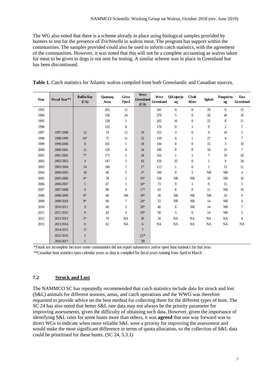The WG also noted that there is a scheme already in place using biological samples provided by hunters to test for the presence of *Trichinella* in walrus meat. The program has support within the communities. The samples provided could also be used to inform catch statistics, with the agreement of the communities. However, it was noted that this will not be a complete accounting as walrus taken for meat to be given to dogs is not sent for testing. A similar scheme was in place in Greenland but has been discontinued.

| Year | <b>Fiscal Year**</b> | <b>Baffin Bay</b><br>(CA) | Qaanaaq<br>Area | Grise<br><b>Fjord</b> | West<br>Greenland<br>(CA) | West<br>Greenland | <b>Qikiqtarju</b><br>aq | <b>Clyde</b><br>River | <b>Igaluit</b>   | Pangnirtu<br>ng | East<br>Greenland |
|------|----------------------|---------------------------|-----------------|-----------------------|---------------------------|-------------------|-------------------------|-----------------------|------------------|-----------------|-------------------|
| 1993 |                      |                           | 265             | 12                    |                           | 241               | $\overline{0}$          | $\theta$              | 29               | $\mathbf{0}$    | 15                |
| 1994 |                      |                           | 156             | 24                    |                           | 270               | 5                       | $\mathbf{0}$          | 26               | 40              | 10                |
| 1995 |                      |                           | 128             | 5                     |                           | 265               | 16                      | $\boldsymbol{0}$      | 25               | 8               | 11                |
| 1996 |                      |                           | 122             | 8                     |                           | 176               | $\boldsymbol{0}$        | 1                     | 9                | $\mathfrak{2}$  | 7                 |
| 1997 | 1997/1998            | 12                        | 74              | 12                    | 19                        | 155               | 3                       | $\mathbf{0}$          | $\boldsymbol{0}$ | 16              | 1                 |
| 1998 | 1998/1999            | $14*$                     | 72              | 11                    | 32                        | 139               | $\mathbf{0}$            | 1                     | 27               | $\overline{4}$  | $\tau$            |
| 1999 | 1999/2000            | 8                         | 101             | 5                     | 18                        | 184               | $\boldsymbol{0}$        | $\boldsymbol{0}$      | 15               | 3               | 10                |
| 2000 | 2000/2001            | 11                        | 126             | 4                     | 34                        | 196               | $\boldsymbol{0}$        | $\mathbf{0}$          | 19               | 15              | 7                 |
| 2001 | 2001/2002            | $7*$                      | 171             | $\overline{c}$        | 28                        | 162               | 1                       | 1                     | $\overline{7}$   | 19              | 10                |
| 2002 | 2002/2003            | 4                         | 147             | 3                     | 43                        | 150               | 33                      | $\mathbf{0}$          | $\mathbf{1}$     | 9               | 34                |
| 2003 | 2003/2004            | 14                        | 160             | 7                     | 17                        | 113               | $\mathbf{1}$            | $\mathbf{0}$          | $\mathbf{1}$     | 15              | 11                |
| 2004 | 2004/2005            | 10                        | 90              | 5                     | $2*$                      | 100               | $\boldsymbol{0}$        | $\overline{c}$        | NR               | NR              | 4                 |
| 2005 | 2005/2006            | $4*$                      | 78              | $\overline{c}$        | $10*$                     | 158               | <b>NR</b>               | NR                    | 10               | NR              | 16                |
| 2006 | 2006/2007            | 5                         | 67              | 5                     | $34*$                     | 73                | 9                       | 1                     | 9                | 15              | 5                 |
| 2007 | 2007/2008            | 6                         | 80              | 4                     | $17*$                     | 43                | 6                       | $\mathbf{0}$          | 11               | <b>NR</b>       | 10                |
| 2008 | 2008/2009            | $0*$                      | 66              | $\rm NR$              | $10*$                     | 28                | NR                      | NR                    | $\rm NR$         | 10              | 9                 |
| 2009 | 2009/2010            | $9*$                      | 90              | 7                     | $24*$                     | 33                | <b>NR</b>               | NR                    | 14               | <b>NR</b>       | 4                 |
| 2010 | 2010/2011            | 9                         | 60              | $\mathbf{2}$          | $20*$                     | 40                | 6                       | $\rm NR$              | 14               | $\rm NR$        | 7                 |
| 2011 | 2011/2012            | 9                         | 42              | 4                     | $19*$                     | 50                | 5                       | $\boldsymbol{0}$      | 14               | $\rm NR$        | 5                 |
| 2012 | 2012/2013            | $2*$                      | 76              | <b>NA</b>             | 36                        | 34                | NA                      | <b>NA</b>             | <b>NA</b>        | NA              | 4                 |
| 2013 | 2013/2014            | $\boldsymbol{0}$          | 62              | NA                    | 6                         | <b>NA</b>         | NA                      | NA                    | <b>NA</b>        | <b>NA</b>       | NA                |
|      | 2014/2015            | 17                        |                 |                       | $7\phantom{.0}$           |                   |                         |                       |                  |                 |                   |
|      | 2015/2016            | $\mathbf{2}$              |                 |                       | $21*$                     |                   |                         |                       |                  |                 |                   |
|      | 2016/2017            | $\mathbf{1}$              |                 |                       | 39                        |                   |                         |                       |                  |                 |                   |

**Table 1.** Catch statistics for Atlantic walrus compiled from both Greenlandic and Canadian sources.

\*Totals are incomplete because some communities did not report subsistence and/or sport hunt statistics for that year. \*\*Canadian hunt statistics span calendar years as data is compiled for fiscal years running from April to March

# **7.2 Struck and Lost**

The NAMMCO SC has repeatedly recommended that catch statistics include data for struck and lost (S&L) animals for different seasons, areas, and catch operations and the WWG was therefore requested to provide advice on the best method for collecting them for the different types of hunt. The SC 24 has also noted that better S&L rate data may not always be the priority parameter for improving assessments, given the difficulty of obtaining such data. However, given the importance of identifying S&L rates for some hunts more than others, it was **agreed** that one way forward was to direct WGs to indicate when more reliable S&L were a priority for improving the assessment and would make the most significant difference in terms of quota allocation, so the collection of S&L data could be prioritised for these hunts. (SC 24, 5.3.1)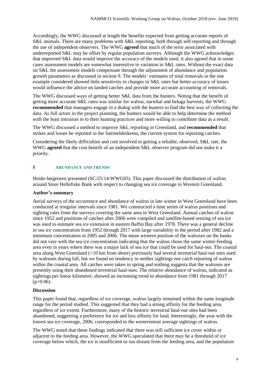Accordingly, the WWG discussed at length the benefits expected from getting accurate reports of S&L animals. There are many problems with S&L reporting, both through self-reporting and through the use of independent observers. The WWG **agreed** that much of the error associated with underreported S&L may be offset by regular population surveys. Although the WWG acknowledges that improved S&L data would improve the accuracy of the models used, it also agreed that in some cases assessment models are somewhat insensitive to variation in S&L rates. Without the exact data on S&L the assessment models compensate through the adjustment of abundance and population growth parameters as discussed in section 9. The models' estimates of total removals in the one example considered showed little sensitivity to changes in S&L rates but better accuracy of losses would influence the advice on landed catches and provide more accurate accounting of removals.

The WWG discussed ways of getting better S&L data from the hunters. Noting that the benefit of getting more accurate S&L rates was similar for walrus, narwhal and beluga harvests, the WWG **recommended** that managers engage in a dialog with the hunters to find the best way of collecting the data. As full actors in the project planning, the hunters would be able to help determine the method with the least intrusion in to their hunting practices and more willing to contribute data as a result.

The WWG discussed a method to improve S&L reporting in Greenland, and **recommended** that strikes and losses be reported in the Særmeldeskema, the current system for reporting catches.

Considering the likely difficulties and cost involved in getting a reliable, observed, S&L rate, the WWG **agreed** that the cost-benefit of an independent S&L observer program did not make it a priority.

# **8 ABUNDANCE AND TRENDS**

Heide-Jørgensen presented (SC/25/14-WWG05). This paper discussed the distribution of walrus around Store Hellefiske Bank with respect to changing sea ice coverage in Western Greenland.

#### **Author's summary**

Aerial surveys of the occurrence and abundance of walrus in late winter in West Greenland have been conducted at irregular intervals since 1981. We constructed a time series of walrus positions and sighting rates from the surveys covering the same area in West Greenland. Annual catches of walrus since 1952 and positions of catches after 2006 were compiled and satellite-based sensing of sea ice was used to estimate sea ice extension in eastern Baffin Bay after 1978. There was a general decline in sea ice concentration from 1952 through 2017 with large variability in the period after 1982 and a minimum concentration in 2005 and 2006. The mean western position of the walruses on the banks did not vary with the sea ice concentration indicating that the walrus chose the same winter-feeding area even in years where there was a major lack of sea ice that could be used for haul-out. The coastal area along West Greenland (<10 km from shore) previously had several terrestrial haul-out sites used by walruses during fall, but we found no tendency in neither sightings nor catch reporting of walrus within the coastal area. All catches were taken in spring and nothing suggests that the walruses are presently using their abandoned terrestrial haul-outs. The relative abundance of walrus, indicated as sightings per linear kilometre, showed an increasing trend in abundance from 1981 through 2017  $(p=0.06)$ .

#### **Discussion**

This paper found that, regardless of ice coverage, walrus largely remained within the same longitude range for the period studied. This suggested that they had a strong affinity for the feeding area, regardless of ice extent. Furthermore, many of the historic terrestrial haul-out sites had been abandoned, suggesting a preference for ice and less affinity for land. Interestingly, the year with the lowest sea ice coverage, 2006, corresponded to the westernmost average sightings of walrus.

The WWG noted that these findings indicated that there was still sufficient ice cover within or adjacent to the feeding area. However, the WWG speculated that there may be a threshold of ice coverage below which, the ice is insufficient or too distant from the feeding area, and the population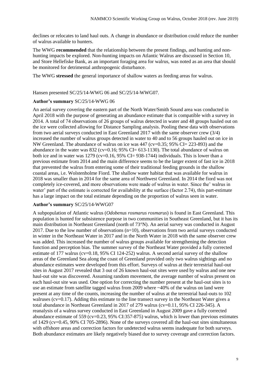declines or relocates to land haul outs. A change in abundance or distribution could reduce the number of walrus available to hunters.

The WWG **recommended** that the relationship between the present findings, and hunting and nonhunting impacts be explored. Non-hunting impacts on Atlantic Walrus are discussed in Section 10, and Store Hellefiske Bank, as an important foraging area for walrus, was noted as an area that should be monitored for detrimental anthropogenic disturbance.

The WWG **stressed** the general importance of shallow waters as feeding areas for walrus.

Hansen presented SC/25/14-WWG 06 and SC/25/14-WWG07.

#### **Author's summary** SC/25/14-WWG 06

An aerial survey covering the eastern part of the North Water/Smith Sound area was conducted in April 2018 with the purpose of generating an abundance estimate that is compatible with a survey in 2014. A total of 74 observations of 26 groups of walrus detected in water and 48 groups hauled out on the ice were collected allowing for Distance Sampling analysis. Pooling these data with observations from two aerial surveys conducted in East Greenland 2017 with the same observer crew (3/4) increased the number of walrus groups detected in water to 40 and to 56 groups hauled out on ice in NW Greenland. The abundance of walrus on ice was 447 (cv=0.35; 95% CI= 223-893) and the abundance in the water was  $832$  (cv=0.16; 95% CI= 613-1130). The total abundance of walrus on both ice and in water was 1279 (cv=0.16, 95% CI= 938-1744) individuals. This is lower than a previous estimate from 2014 and the main difference seems to be the larger extent of fast ice in 2018 that prevented the walrus from entering some of their traditional feeding grounds in the shallow coastal areas, i.e. Wolstenholme Fiord. The shallow water habitat that was available for walrus in 2018 was smaller than in 2014 for the same area of Northwest Greenland. In 2014 the fiord was not completely ice-covered, and more observations were made of walrus in water. Since the' walrus in water' part of the estimate is corrected for availability at the surface (factor 2.74), this part-estimate has a large impact on the total estimate depending on the proportion of walrus seen in water.

## **Author's summary** SC/25/14-WWG07

A subpopulation of Atlantic walrus (*Odobenus rosmarus rosmarus*) is found in East Greenland. This population is hunted for subsistence purpose in two communities in Southeast Greenland, but it has its main distribution in Northeast Greenland (north of 73°N). An aerial survey was conducted in August 2017. Due to the low number of observations  $(n=10)$ , observations from two aerial surveys conducted in winter in the Northeast Water in 2017 and in the North Water in 2018 with the same observer crew was added. This increased the number of walrus groups available for strengthening the detection function and perception bias. The summer survey of the Northeast Water provided a fully corrected estimate of 177 walrus (cv=0.18, 95% CI 124-252) walrus. A second aerial survey of the shallow areas of the Greenland Sea along the coast of Greenland provided only two walrus sightings and no abundance estimates were developed from this effort. Surveys of walrus at their terrestrial haul-out sites in August 2017 revealed that 3 out of 26 known haul-out sites were used by walrus and one new haul-out site was discovered. Assuming random movement, the average number of walrus present on each haul-out site was used. One option for correcting the number present at the haul-out sites is to use an estimate from satellite tagged walrus from 2009 where ~40% of the walrus on land were present at any time of the counts, increasing the number of walrus at the terrestrial haul-outs to 102 walruses (cv=0.17). Adding this estimate to the line transect survey in the Northeast Water gives a total abundance in Northeast Greenland in 2017 of 279 walrus (cv=0.11, 95% CI 226-345). A reanalysis of a walrus survey conducted in East Greenland in August 2009 gave a fully corrected abundance estimate of 559 (cv=0.23, 95% CI:357-875) walrus, which is lower than previous estimates of 1429 (cv=0.45, 90% CI 705-2896). None of the surveys covered all the haul-out sites simultaneous with offshore areas and correction factors for undetected walrus seems inadequate for both surveys. Both abundance estimates are likely negatively biased due to survey coverage and correction factors.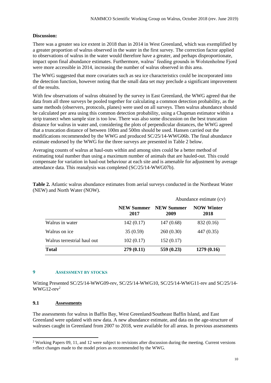# **Discussion:**

There was a greater sea ice extent in 2018 than in 2014 in West Greenland, which was exemplified by a greater proportion of walrus observed in the water in the first survey. The correction factor applied to observations of walrus in the water would therefore have a greater, and perhaps disproportionate, impact upon final abundance estimates. Furthermore, walrus' feeding grounds in Wolstenholme Fjord were more accessible in 2014, increasing the number of walrus observed in this area.

The WWG suggested that more covariates such as sea ice characteristics could be incorporated into the detection function, however noting that the small data set may preclude a significant improvement of the results.

With few observations of walrus obtained by the survey in East Greenland, the WWG agreed that the data from all three surveys be pooled together for calculating a common detection probability, as the same methods (observers, protocols, planes) were used on all surveys. Then walrus abundance should be calculated per area using this common detection probability, using a Chapman estimator within a strip transect when sample size is too low. There was also some discussion on the best truncation distance for walrus in water and, considering the plots of perpendicular distances, the WWG agreed that a truncation distance of between 100m and 500m should be used. Hansen carried out the modifications recommended by the WWG and produced SC/25/14-WWG06b. The final abundance estimate endorsed by the WWG for the three surveys are presented in Table 2 below.

Averaging counts of walrus at haul-outs within and among sites could be a better method of estimating total number than using a maximum number of animals that are hauled-out. This could compensate for variation in haul-out behaviour at each site and is amenable for adjustment by average attendance data. This reanalysis was completed (SC/25/14-WWG07b).

|                             |                           |                           | Abundance estimate (cv)   |  |
|-----------------------------|---------------------------|---------------------------|---------------------------|--|
|                             | <b>NEW Summer</b><br>2017 | <b>NEW Summer</b><br>2009 | <b>NOW Winter</b><br>2018 |  |
| Walrus in water             | 142(0.17)                 | 147(0.68)                 | 832 (0.16)                |  |
| Walrus on ice               | 35(0.59)                  | 260(0.30)                 | 447 (0.35)                |  |
| Walrus terrestrial haul out | 102(0.17)                 | 152(0.17)                 |                           |  |
| <b>Total</b>                | 279(0.11)                 | 559 $(0.23)$              | 1279(0.16)                |  |

**Table 2.** Atlantic walrus abundance estimates from aerial surveys conducted in the Northeast Water (NEW) and North Water (NOW).

#### **9 ASSESSMENT BY STOCKS**

Witting Presented SC/25/14-WWG09-rev, SC/25/14-WWG10, SC/25/14-WWG11-rev and SC/25/14-  $WWG12$ -rev<sup>2</sup>

# **9.1 Assessments**

-

The assessments for walrus in Baffin Bay, West Greenland/Southeast Baffin Island, and East Greenland were updated with new data. A new abundance estimate, and data on the age-structure of walruses caught in Greenland from 2007 to 2018, were available for all areas. In previous assessments

<sup>2</sup> Working Papers 09, 11, and 12 were subject to revisions after discussion during the meeting. Current versions reflect changes made to the model priors as recommended by the WWG.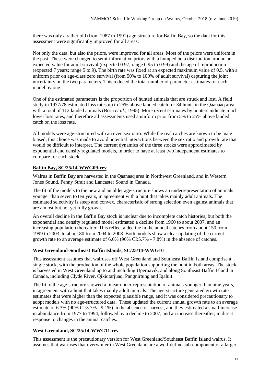there was only a rather old (from 1987 to 1991) age-structure for Baffin Bay, so the data for this assessment were significantly improved for all areas.

Not only the data, but also the priors, were improved for all areas. Most of the priors were uniform in the past. These were changed to semi-informative priors with a humped beta distribution around an expected value for adult survival (expected 0.97; range 0.95 to 0.99) and the age of reproduction (expected 7 years; range 5 to 9). The birth rate was fixed at an expected maximum value of 0.5, with a uniform prior on age-class zero survival (from 50% to 100% of adult survival) capturing the joint uncertainty on the two parameters. This reduced the total number of parameter estimates for each model by one.

One of the estimated parameters is the proportion of hunted animals that are struck and lost. A field study in 1977/78 estimated loss rates up to 25% above landed catch for 34 hunts in the Qaanaaq area with a total of 112 landed animals (Born *et al*., 1995). More recent estimates by hunters indicate much lower loss rates, and therefore all assessments used a uniform prior from 5% to 25% above landed catch on the loss rate.

All models were age-structured with an even sex ratio. While the real catches are known to be male biased, this choice was made to avoid potential interactions between the sex ratio and growth rate that would be difficult to interpret. The current dynamics of the three stocks were approximated by exponential and density regulated models, in order to have at least two independent estimates to compare for each stock.

## **Baffin Bay, SC/25/14-WWG09-rev**

Walrus in Baffin Bay are harvested in the Qaanaaq area in Northwest Greenland, and in Western Jones Sound, Penny Strait and Lancaster Sound in Canada.

The fit of the models to the new and an older age-structure shows an underrepresentation of animals younger than seven to ten years, in agreement with a hunt that takes mainly adult animals. The estimated selectivity is steep and convex, characteristic of strong selection even against animals that are almost but not yet fully grown.

An overall decline in the Baffin Bay stock is unclear due to incomplete catch histories, but both the exponential and density regulated model estimated a decline from 1960 to about 2007, and an increasing population thereafter. This reflect a decline in the annual catches from about 150 from 1999 to 2003, to about 80 from 2004 to 2008. Both models show a clear updating of the current growth rate to an average estimate of 6.6% (90% CI:5.7% - 7.8%) in the absence of catches.

#### **West Greenland-Southeast Baffin Islands, SC/25/14-WWG10**

This assessment assumes that walruses off West Greenland and Southeast Baffin Island comprise a single stock, with the production of the whole population supporting the hunt in both areas. The stock is harvested in West Greenland up to and including Upernavik, and along Southeast Baffin Island in Canada, including Clyde River, Qikiqtarjuaq, Pangnirtung and Iqaluit.

The fit to the age-structure showed a linear under-representation of animals younger than nine years, in agreement with a hunt that takes mainly adult animals. The age-structure generated growth rate estimates that were higher than the expected plausible range, and it was considered precautionary to adopt models with no age-structured data. These updated the current annual growth rate to an average estimate of 6.3% (90% CI:3.7% - 9.1%) in the absence of harvest, and they estimated a small increase in abundance from 1977 to 1994, followed by a decline to 2007, and an increase thereafter; in direct response to changes in the annual catches.

# **West Greenland, SC/25/14-WWG11-rev**

This assessment is the precautionary version for West Greenland/Southeast Baffin Island walrus. It assumes that walruses that overwinter in West Greenland are a well-define sub-component of a larger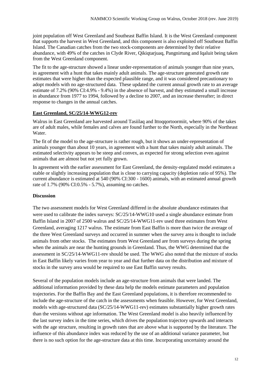joint population off West Greenland and Southeast Baffin Island. It is the West Greenland component that supports the harvest in West Greenland, and this component is also exploited off Southeast Baffin Island. The Canadian catches from the two stock-components are determined by their relative abundance, with 49% of the catches in Clyde River, Qikiqtarjuaq, Pangnirtung and Iqaluit being taken from the West Greenland component.

The fit to the age-structure showed a linear under-representation of animals younger than nine years, in agreement with a hunt that takes mainly adult animals. The age-structure generated growth rate estimates that were higher than the expected plausible range, and it was considered precautionary to adopt models with no age-structured data. These updated the current annual growth rate to an average estimate of 7.2% (90% CI:4.9% - 9.4%) in the absence of harvest, and they estimated a small increase in abundance from 1977 to 1994, followed by a decline to 2007, and an increase thereafter; in direct response to changes in the annual catches.

# **East Greenland, SC/25/14-WWG12-rev**

Walrus in East Greenland are harvested around Tasiilaq and Ittoqqortoormiit, where 90% of the takes are of adult males, while females and calves are found further to the North, especially in the Northeast Water.

The fit of the model to the age-structure is rather rough, but it shows an under-representation of animals younger than about 10 years, in agreement with a hunt that takes mainly adult animals. The estimated selectivity appears to be steep and convex, as expected for strong selection even against animals that are almost but not yet fully grown.

In agreement with the earlier assessment for East Greenland, the density-regulated model estimates a stable or slightly increasing population that is close to carrying capacity (depletion ratio of 95%). The current abundance is estimated at 540 (90% CI:300 - 1600) animals, with an estimated annual growth rate of 1.7% (90% CI:0.5% - 5.7%), assuming no catches.

# **Discussion**

The two assessment models for West Greenland differed in the absolute abundance estimates that were used to calibrate the index surveys: SC/25/14-WWG10 used a single abundance estimate from Baffin Island in 2007 of 2500 walrus and SC/25/14-WWG11-rev used three estimates from West Greenland, averaging 1217 walrus. The estimate from East Baffin is more than twice the average of the three West Greenland surveys and occurred in summer when the survey area is thought to include animals from other stocks. The estimates from West Greenland are from surveys during the spring when the animals are near the hunting grounds in Greenland. Thus, the WWG determined that the assessment in SC/25/14-WWG11-rev should be used. The WWG also noted that the mixture of stocks in East Baffin likely varies from year to year and that further data on the distribution and mixture of stocks in the survey area would be required to use East Baffin survey results.

Several of the population models include an age-structure from animals that were landed. The additional information provided by these data help the models estimate parameters and population trajectories. For the Baffin Bay and the East Greenland populations, it is therefore recommended to include the age-structure of the catch in the assessments when feasible. However, for West Greenland, models with age-structured data (SC/25/14-WWG11-rev) estimates substantially higher growth rates than the versions without age information. The West Greenland model is also heavily influenced by the last survey index in the time series, which drives the population trajectory upwards and interacts with the age structure, resulting in growth rates that are above what is supported by the literature. The influence of this abundance index was reduced by the use of an additional variance parameter, but there is no such option for the age-structure data at this time. Incorporating uncertainty around the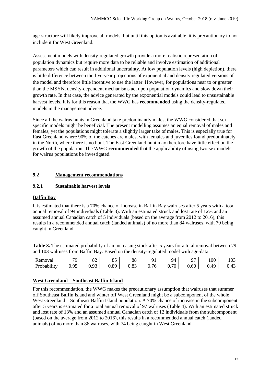age-structure will likely improve all models, but until this option is available, it is precautionary to not include it for West Greenland.

Assessment models with density-regulated growth provide a more realistic representation of population dynamics but require more data to be reliable and involve estimation of additional parameters which can result in additional uncertainty. At low population levels (high depletion), there is little difference between the five-year projections of exponential and density regulated versions of the model and therefore little incentive to use the latter. However, for populations near to or greater than the MSYN, density-dependent mechanisms act upon population dynamics and slow down their growth rate. In that case, the advice generated by the exponential models could lead to unsustainable harvest levels. It is for this reason that the WWG has **recommended** using the density-regulated models in the management advice.

Since all the walrus hunts in Greenland take predominantly males, the WWG considered that sexspecific models might be beneficial. The present modelling assumes an equal removal of males and females, yet the populations might tolerate a slightly larger take of males. This is especially true for East Greenland where 90% of the catches are males, with females and juveniles found predominately in the North, where there is no hunt. The East Greenland hunt may therefore have little effect on the growth of the population. The WWG **recommended** that the applicability of using two-sex models for walrus populations be investigated.

# **9.2 Management recommendations**

# **9.2.1 Sustainable harvest levels**

## **Baffin Bay**

It is estimated that there is a 70% chance of increase in Baffin Bay walruses after 5 years with a total annual removal of 94 individuals (Table 3). With an estimated struck and lost rate of 12% and an assumed annual Canadian catch of 5 individuals (based on the average from 2012 to 2016), this results in a recommended annual catch (landed animals) of no more than 84 walruses, with 79 being caught in Greenland.

**Table 3.** The estimated probability of an increasing stock after 5 years for a total removal between 79 and 103 walruses from Baffin Bay. Based on the density-regulated model with age-data.

| ∽<br>Removal | $\overline{\phantom{a}}$ | $\Omega$<br>٥۷                      | $Q\subset$<br>ບຸ                          | 88              | $^{\circ}$<br>╯    | 94   | $\sim$ | 100               | $\Omega$<br>1 V J |
|--------------|--------------------------|-------------------------------------|-------------------------------------------|-----------------|--------------------|------|--------|-------------------|-------------------|
| Probability  | O <sub>5</sub><br>◡•৴◡   | Q <sub>2</sub><br>v. <sub>2</sub> J | $\overline{R}$<br>$\mathsf{v}.\mathsf{v}$ | $\circ$<br>u.oo | $\sim$<br>'O<br>v. | 0.70 | 0.60   | $\Delta$ Q<br>∪.┱ | 0.43              |

#### **West Greenland – Southeast Baffin Island**

For this recommendation, the WWG makes the precautionary assumption that walruses that summer off Southeast Baffin Island and winter off West Greenland might be a subcomponent of the whole West Greenland – Southeast Baffin Island population. A 70% chance of increase in the subcomponent after 5 years is estimated for a total annual removal of 97 walruses (Table 4). With an estimated struck and lost rate of 13% and an assumed annual Canadian catch of 12 individuals from the subcomponent (based on the average from 2012 to 2016), this results in a recommended annual catch (landed animals) of no more than 86 walruses, with 74 being caught in West Greenland.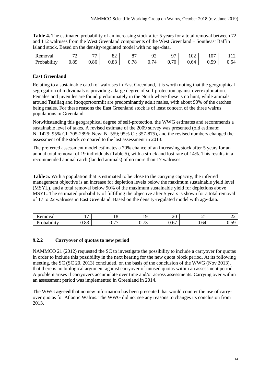**Table 4.** The estimated probability of an increasing stock after 5 years for a total removal between 72 and 112 walruses from the West Greenland components of the West Greenland – Southeast Baffin Island stock. Based on the density-regulated model with no age-data.

| Removal                        | $\overline{\phantom{a}}$<br>- | $\overline{\phantom{a}}$  | റി<br>٥۷   | $\sim$<br>ັ           | $\sim$<br>∼                  | $\sim$     | $\Omega$<br>UZ | 107                | $\sim$<br>1 1 4                       |
|--------------------------------|-------------------------------|---------------------------|------------|-----------------------|------------------------------|------------|----------------|--------------------|---------------------------------------|
| $\cdots$<br><b>Probability</b> | $\overline{R}$<br>$v \cdot v$ | $Q_{\mathcal{L}}$<br>v.oo | റി<br>U.OJ | 70<br>$\circ$<br>◡. ៸ | $\overline{ }$<br>74<br>v. 1 | 70<br>◡. ៸ | J.64           | $\sim$<br>u<br>∪.∪ | $\overline{\phantom{0}}$<br>54<br>∪.∪ |

# **East Greenland**

Relating to a sustainable catch of walruses in East Greenland, it is worth noting that the geographical segregation of individuals is providing a large degree of self-protection against overexploitation. Females and juveniles are found predominately in the North where these is no hunt, while animals around Tasiilaq and Ittoqqortoormiit are predominantly adult males, with about 90% of the catches being males. For these reasons the East Greenland stock is of least concern of the three walrus populations in Greenland.

Notwithstanding this geographical degree of self-protection, the WWG estimates and recommends a sustainable level of takes. A revised estimate of the 2009 survey was presented (old estimate: N=1429; 95% CI: 705-2896; New: N=559; 95% CI: 357-875), and the revised numbers changed the assessment of the stock compared to the last assessment in 2013.

The preferred assessment model estimates a 70% chance of an increasing stock after 5 years for an annual total removal of 19 individuals (Table 5), with a struck and lost rate of 14%. This results in a recommended annual catch (landed animals) of no more than 17 walruses.

**Table 5.** With a population that is estimated to be close to the carrying capacity, the inferred management objective is an increase for depletion levels below the maximum sustainable yield level (MSYL), and a total removal below 90% of the maximum sustainable yield for depletions above MSYL. The estimated probability of fulfilling the objective after 5 years is shown for a total removal of 17 to 22 walruses in East Greenland. Based on the density-regulated model with age-data.

| 'emoval<br>$ -$             | . .              | 1 ດ<br>1 U                | $\sim$<br>. .          | ററ<br>້<br>and the control of the control of | . .<br>$\sim$ 1                  | ∸                         |
|-----------------------------|------------------|---------------------------|------------------------|----------------------------------------------|----------------------------------|---------------------------|
| $\cdots$<br>.obability<br>- | $\Omega$<br>J.VJ | $\overline{a}$<br>⌒<br>v. | $\sim$ $\sim$<br>∪•≀ ⊃ | $\overline{\phantom{0}}$<br>U.O              | $\overline{\phantom{0}}$<br>V.64 | $\sim$ $\sim$<br>۰<br>◡.◡ |

# **9.2.2 Carryover of quotas to new period**

NAMMCO 21 (2012) requested the SC to investigate the possibility to include a carryover for quotas in order to include this possibility in the next hearing for the new quota block period. At its following meeting, the SC (SC 20, 2013) concluded, on the basis of the conclusion of the WWG (Nov 2013), that there is no biological argument against carryover of unused quotas within an assessment period. A problem arises if carryovers accumulate over time and/or across assessments. Carrying over within an assessment period was implemented in Greenland in 2014.

The WWG **agreed** that no new information has been presented that would counter the use of carryover quotas for Atlantic Walrus. The WWG did not see any reasons to changes its conclusion from 2013.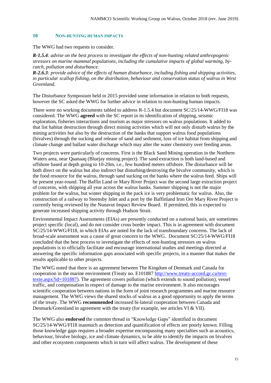#### **10 NON-HUNTING HUMAN IMPACTS**

The WWG had two requests to consider.

*R-1.5.4: advise on the best process to investigate the effects of non-hunting related anthropogenic stressors on marine mammal populations, including the cumulative impacts of global warming, bycatch, pollution and disturbance.*

*R-2.6.3: provide advice of the effects of human disturbance, including fishing and shipping activities, in particular scallop fishing, on the distribution, behaviour and conservation status of walrus in West Greenland.* 

The Disturbance Symposium held in 2015 provided some information in relation to both requests, however the SC asked the WWG for further advice in relation to non-hunting human impacts.

There were no working documents tabled to address R-1.5.4 but document SC/25/14-WWG/FI18 was considered. The WWG **agreed** with the SC report in its identification of shipping, seismic exploration, fisheries interactions and tourism as major stressors on walrus populations. It added to that list habitat destruction through direct mining activities which will not only disturb walrus by the mining activities but also by the destruction of the banks that support walrus food populations (bivalves) through the sucking and release of sand and sediment, loss of ice habitat from shipping and climate change and ballast water discharge which may alter the water chemistry over feeding areas.

Two projects were particularly of concerns. First is the Black Sand Mining operation in the Northern Waters area, near Qaanaaq (Bluejay mining project). The sand extraction is both land-based and offshore based at depth going to 10-20m, i.e., few hundred meters offshore. The disturbance will be both direct on the walrus but also indirect but disturbing/destroying the bivalve community, which is the food resource for the walrus, through sand sucking on the banks where the walrus feed. Ships will be present year-round. The Baffin Land or Mary River Project was the second large extraction project of concerns, with shipping all year across the walrus banks. Summer shipping is not the major problem for the walrus, but winter shipping in the pack ice is very problematic for walrus. Also, the construction of a railway to Steensby Inlet and a port by the Baffinland Iron Ore Mary River Project is currently being reviewed by the Nunavut Impact Review Board. If permitted, this is expected to generate increased shipping activity through Hudson Strait.

Environmental Impact Assessments (EIAs) are presently conducted on a national basis, are sometimes project specific (local), and do not consider cross border impact. This is in agreement with document SC/25/14-WWG/FI18, in which EIAs are noted for the lack of transboundary concerns. The lack of broad-scale assessment was a cause of great concern to the WWG. Document SC/25/14-WWG/FI18 concluded that the best process to investigate the effects of non-hunting stressors on walrus populations is to officially facilitate and encourage international studies and meetings directed at answering the specific information gaps associated with specific projects, in a manner that makes the results applicable to other projects.

The WWG noted that there is an agreement between The Kingdom of Denmark and Canada for cooperation in the marine environment (Treaty no. E101887 [http://www.treaty-accord.gc.ca/text](http://www.treaty-accord.gc.ca/text-texte.aspx?id=101887)[texte.aspx?id=101887\)](http://www.treaty-accord.gc.ca/text-texte.aspx?id=101887). The agreement covers pollution (which extends to sound pollution), vessel traffic, and compensation in respect of damage to the marine environment. It also encourages scientific cooperation between nations in the form of joint research programmes and marine resource management. The WWG views the shared stocks of walrus as a good opportunity to apply the terms of the treaty. The WWG **recommended** increased bi-lateral cooperation between Canada and Denmark/Greenland in agreement with the treaty (for example, see articles VI & VII).

The WWG also **endorsed** the common thread in "Knowledge Gaps" identified in document SC/25/14-WWG/FI18 inasmuch as detection and quantification of effects are poorly known. Filling those knowledge gaps requires a broader expertise encompassing many specialties such as acoustics, behaviour, bivalve biology, ice and climate dynamics, to be able to identify the impacts on bivalves and other ecosystem components which in turn will affect walrus. The development of these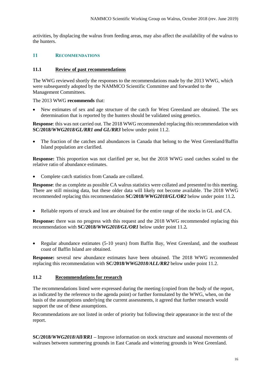activities, by displacing the walrus from feeding areas, may also affect the availability of the walrus to the hunters.

#### **11 RECOMMENDATIONS**

#### **11.1 Review of past recommendations**

The WWG reviewed shortly the responses to the recommendations made by the 2013 WWG, which were subsequently adopted by the NAMMCO Scientific Committee and forwarded to the Management Committees.

The 2013 WWG **recommends** that:

• New estimates of sex and age structure of the catch for West Greenland are obtained. The sex determination that is reported by the hunters should be validated using genetics.

**Response**: this was not carried out. The 2018 WWG recommended replacing this recommendation with **SC/2018/***WWG2018/GL/RR1 and GL/RR3* below under point 11.2.

• The fraction of the catches and abundances in Canada that belong to the West Greenland/Baffin Island population are clarified.

**Response:** This proportion was not clarified per se, but the 2018 WWG used catches scaled to the relative ratio of abundance estimates.

• Complete catch statistics from Canada are collated.

**Response**: the as complete as possible CA walrus statistics were collated and presented to this meeting. There are still missing data, but these older data will likely not become available. The 2018 WWG recommended replacing this recommendation **SC/2018/***WWG2018/GL/OR2* below under point 11.2*.*

• Reliable reports of struck and lost are obtained for the entire range of the stocks in GL and CA.

**Response:** there was no progress with this request and the 2018 WWG recommended replacing this recommendation with **SC/2018/***WWG2018/GL/OR1* below under point 11.2*.*

• Regular abundance estimates (5-10 years) from Baffin Bay, West Greenland, and the southeast coast of Baffin Island are obtained.

**Response:** several new abundance estimates have been obtained. The 2018 WWG recommended replacing this recommendation with **SC/2018/***WWG2018/ALL/RR2* below under point 11.2.

# **11.2 Recommendations for research**

The recommendations listed were expressed during the meeting (copied from the body of the report, as indicated by the reference to the agenda point) or further formulated by the WWG, when, on the basis of the assumptions underlying the current assessments, it agreed that further research would support the use of these assumptions.

Recommendations are not listed in order of priority but following their appearance in the text of the report.

**SC/2018/***WWG2018/All/RR1 –* Improve information on stock structure and seasonal movements of walruses between summering grounds in East Canada and wintering grounds in West Greenland.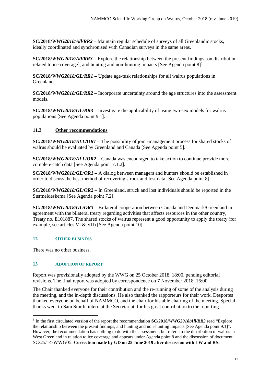**SC/2018/***WWG2018/All/RR2 –* Maintain regular schedule of surveys of all Greenlandic stocks, ideally coordinated and synchronised with Canadian surveys in the same areas.

**SC/2018/***WWG2018/All/RR3 –* Explore the relationship between the present findings [on distribution related to ice coverage], and hunting and non-hunting impacts [See Agenda point  $8$ ]<sup>3</sup>.

**SC/2018/***WWG2018/GL/RR1 –* Update age-tusk relationships for all walrus populations in Greenland.

**SC/2018/***WWG2018/GL/RR2 –* Incorporate uncertainty around the age structures into the assessment models.

**SC/2018/***WWG2018/GL/RR3 –* Investigate the applicability of using two-sex models for walrus populations [See Agenda point 9.1].

# **11.3 Other recommendations**

**SC/2018/***WWG2018/ALL/OR1 –* The possibility of joint-management process for shared stocks of walrus should be evaluated by Greenland and Canada [See Agenda point 5].

**SC/2018/***WWG2018/ALL/OR2 –* Canada was encouraged to take action to continue provide more complete catch data [See Agenda point 7.1.2].

**SC/2018/***WWG2018/GL/OR1 –* A dialog between managers and hunters should be established in order to discuss the best method of recovering struck and lost data [See Agenda point 8].

**SC/2018/***WWG2018/GL/OR2 –* In Greenland, struck and lost individuals should be reported in the Særmeldeskema [See Agenda point 7.2].

**SC/2018/***WWG2018/GL/OR3 –* Bi-lateral cooperation between Canada and Denmark/Greenland in agreement with the bilateral treaty regarding activities that affects resources in the other country, Treaty no. E101887. The shared stocks of walrus represent a good opportunity to apply the treaty (for example, see articles VI & VII) [See Agenda point 10].

# **12 OTHER BUSINESS**

There was no other business.

-

#### **13 ADOPTION OF REPORT**

Report was provisionally adopted by the WWG on 25 October 2018, 18:00, pending editorial revisions. The final report was adopted by correspondence on 7 November 2018, 16:00.

The Chair thanked everyone for their contribution and the re-running of some of the analysis during the meeting, and the in-depth discussions. He also thanked the rapporteurs for their work. Desportes thanked everyone on behalf of NAMMCO, and the chair for his able chairing of the meeting. Special thanks went to Sam Smith, intern at the Secretariat, for his great contribution to the reporting.

<sup>3</sup> In the first circulated version of the report the recommendation **SC/2018/***WWG2018/All/RR3* read "Explore the relationship between the present findings, and hunting and non-hunting impacts [See Agenda point 9.1]". However, the recommendation has nothing to do with the assessment, but refers to the distribution of walrus in West Greenland in relation to ice coverage and appears under Agenda point 8 and the discussion of document SC/25/14-WWG05. **Correction made by GD on 25 June 2019 after discussion with LW and RS.**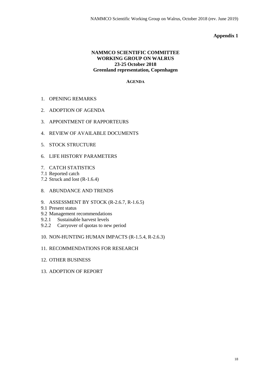#### **Appendix 1**

# **NAMMCO SCIENTIFIC COMMITTEE WORKING GROUP ON WALRUS 23-25 October 2018 Greenland representation, Copenhagen**

#### **AGENDA**

- 1. OPENING REMARKS
- 2. ADOPTION OF AGENDA
- 3. APPOINTMENT OF RAPPORTEURS
- 4. REVIEW OF AVAILABLE DOCUMENTS
- 5. STOCK STRUCTURE
- 6. LIFE HISTORY PARAMETERS
- 7. CATCH STATISTICS
- 7.1 Reported catch
- 7.2 Struck and lost (R-1.6.4)
- 8. ABUNDANCE AND TRENDS
- 9. ASSESSMENT BY STOCK (R-2.6.7, R-1.6.5)
- 9.1 Present status
- 9.2 Management recommendations
- 9.2.1 Sustainable harvest levels
- 9.2.2 Carryover of quotas to new period
- 10. NON-HUNTING HUMAN IMPACTS (R-1.5.4, R-2.6.3)
- 11. RECOMMENDATIONS FOR RESEARCH
- 12. OTHER BUSINESS
- 13. ADOPTION OF REPORT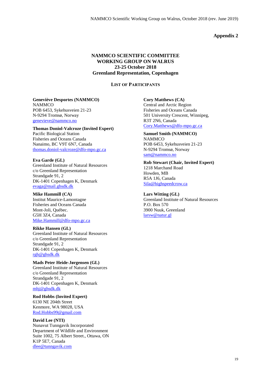#### **Appendix 2**

## **NAMMCO SCIENTIFIC COMMITTEE WORKING GROUP ON WALRUS 23-25 October 2018 Greenland Representation, Copenhagen**

**LIST OF PARTICIPANTS**

# **Geneviève Desportes (NAMMCO)**

**NAMMCO** POB 6453, Sykehusveien 21-23 N-9294 Tromsø, Norway [genevieve@nammco.no](mailto:genevieve@nammco.no)

# **Thomas Doniol-Valcroze (Invited Expert)**

Pacific Biological Station Fisheries and Oceans Canada Nanaimo, BC V9T 6N7, Canada [thomas.doniol-valcroze@dfo-mpo.gc.ca](mailto:thomas.doniol-valcroze@dfo-mpo.gc.ca)

**Eva Garde (GL)** Greenland Institute of Natural Resources c/o Greenland Representation Strandgade 91, 2 DK-1401 Copenhagen K, Denmark [evaga@mail.ghsdk.dk](mailto:evaga@mail.ghsdk.dk)

**Mike Hammill (CA)** Institut Maurice-Lamontagne Fisheries and Oceans Canada Mont-Joli, Québec. G5H 3Z4, Canada [Mike.Hammill@dfo-mpo.gc.ca](mailto:Mike.Hammill@dfo-mpo.gc.ca)

**Rikke Hansen (GL)**

Greenland Institute of Natural Resources c/o Greenland Representation Strandgade 91, 2 DK-1401 Copenhagen K, Denmark [rgh@ghsdk.dk](mailto:rgh@ghsdk.dk)

#### **Mads Peter Heide-Jørgensen (GL)**

Greenland Institute of Natural Resources c/o Greenland Representation Strandgade 91, 2 DK-1401 Copenhagen K, Denmark [mhj@ghsdk.dk](mailto:mhj@ghsdk.dk)

**Rod Hobbs (Invited Expert)** 6130 NE 204th Street Kenmore, WA 98028, USA [Rod.Hobbs99@gmail.com](mailto:Rod.Hobbs99@gmail.com)

#### **David Lee (NTI)**

Nunavut Tunngavik Incorporated Department of Wildlife and Environment Suite 1002, 75 Albert Street., Ottawa, ON K1P 5E7, Canada [dlee@tunngavik.com](mailto:dlee@tunngavik.com)

**Cory Matthews (CA)**

Central and Arctic Region Fisheries and Oceans Canada 501 University Crescent, Winnipeg, R3T 2N6, Canada [Cory.Matthews@dfo-mpo.gc.ca](mailto:Cory.Matthews@dfo-mpo.gc.ca)

**Samuel Smith (NAMMCO) NAMMCO** POB 6453, Sykehusveien 21-23 N-9294 Tromsø, Norway [sam@nammco.no](mailto:sam@nammco.no)

**Rob Stewart (Chair, Invited Expert)** 1218 Marchand Road Howden, MB R5A 1J6, Canada [Sila@highspeedcrow.ca](mailto:Sila@highspeedcrow.ca)

**Lars Witting (GL)** Greenland Institute of Natural Resources P.O. Box 570 3900 Nuuk, Greenland [larsw@natur.gl](mailto:larsw@natur.gl)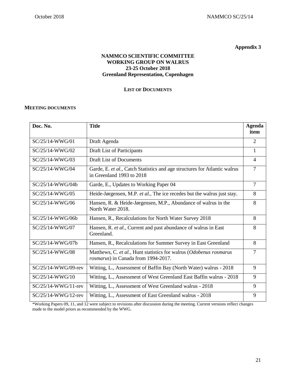**Appendix 3**

# **NAMMCO SCIENTIFIC COMMITTEE WORKING GROUP ON WALRUS 23-25 October 2018 Greenland Representation, Copenhagen**

#### **LIST OF DOCUMENTS**

#### **MEETING DOCUMENTS**

| Doc. No.               | <b>Title</b>                                                                                              | <b>Agenda</b><br>item |
|------------------------|-----------------------------------------------------------------------------------------------------------|-----------------------|
| $SC/25/14-WWG/01$      | Draft Agenda                                                                                              | $\overline{2}$        |
| SC/25/14-WWG/02        | Draft List of Participants                                                                                | $\mathbf{1}$          |
| SC/25/14-WWG/03        | <b>Draft List of Documents</b>                                                                            | 4                     |
| SC/25/14-WWG/04        | Garde, E. et al., Catch Statistics and age structures for Atlantic walrus<br>in Greenland 1993 to 2018    | 7                     |
| SC/25/14-WWG/04b       | Garde, E., Updates to Working Paper 04                                                                    | $\overline{7}$        |
| SC/25/14-WWG/05        | Heide-Jørgensen, M.P. et al., The ice recedes but the walrus just stay.                                   | 8                     |
| SC/25/14-WWG/06        | Hansen, R. & Heide-Jørgensen, M.P., Abundance of walrus in the<br>North Water 2018.                       | 8                     |
| $SC/25/14-WWG/06h$     | Hansen, R., Recalculations for North Water Survey 2018                                                    | 8                     |
| SC/25/14-WWG/07        | Hansen, R. et al., Current and past abundance of walrus in East<br>Greenland.                             | 8                     |
| SC/25/14-WWG/07b       | Hansen, R., Recalculations for Summer Survey in East Greenland                                            | 8                     |
| SC/25/14-WWG/08        | Matthews, C. et al., Hunt statistics for walrus (Odobenus rosmarus<br>rosmarus) in Canada from 1994-2017. | 7                     |
| SC/25/14-WWG/09-rev    | Witting, L., Assessment of Baffin Bay (North Water) walrus - 2018                                         | 9                     |
| SC/25/14-WWG/10        | Witting, L., Assessment of West Greenland East Baffin walrus - 2018                                       | 9                     |
| SC/25/14-WWG/11-rev    | Witting, L., Assessment of West Greenland walrus - 2018                                                   | 9                     |
| $SC/25/14-WWG/12$ -rev | Witting, L., Assessment of East Greenland walrus - 2018                                                   | 9                     |

\*Working Papers 09, 11, and 12 were subject to revisions after discussion during the meeting. Current versions reflect changes made to the model priors as recommended by the WWG.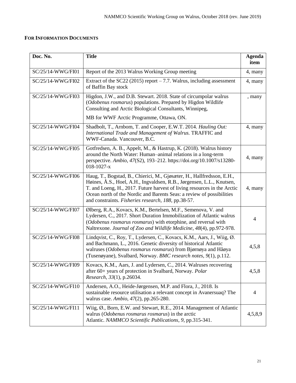# **FOR INFORMATION DOCUMENTS**

| Doc. No.          | <b>Title</b>                                                                                                                                                                                                                                                                                                                                                | <b>Agenda</b><br>item |
|-------------------|-------------------------------------------------------------------------------------------------------------------------------------------------------------------------------------------------------------------------------------------------------------------------------------------------------------------------------------------------------------|-----------------------|
| SC/25/14-WWG/FI01 | Report of the 2013 Walrus Working Group meeting                                                                                                                                                                                                                                                                                                             | 4, many               |
| SC/25/14-WWG/FI02 | Extract of the SC22 (2015) report $-7.7$ . Walrus, including assessment<br>of Baffin Bay stock                                                                                                                                                                                                                                                              | 4, many               |
| SC/25/14-WWG/FI03 | Higdon, J.W., and D.B. Stewart. 2018. State of circumpolar walrus<br>(Odobenus rosmarus) populations. Prepared by Higdon Wildlife<br>Consulting and Arctic Biological Consultants, Winnipeg,                                                                                                                                                                | , many                |
|                   | MB for WWF Arctic Programme, Ottawa, ON.                                                                                                                                                                                                                                                                                                                    |                       |
| SC/25/14-WWG/FI04 | Shadbolt, T., Arnbom, T. and Cooper, E.W.T. 2014. Hauling Out:<br>International Trade and Management of Walrus. TRAFFIC and<br>WWF-Canada. Vancouver, B.C.                                                                                                                                                                                                  | 4, many               |
| SC/25/14-WWG/FI05 | Gotfredsen, A. B., Appelt, M., & Hastrup, K. (2018). Walrus history<br>around the North Water: Human-animal relations in a long-term<br>perspective. Ambio, 47(S2), 193-212. https://doi.org/10.1007/s13280-<br>$018 - 1027 - x$                                                                                                                            | 4, many               |
| SC/25/14-WWG/FI06 | Haug, T., Bogstad, B., Chierici, M., Gjøsæter, H., Hallfredsson, E.H.,<br>Høines, Å.S., Hoel, A.H., Ingvaldsen, R.B., Jørgensen, L.L., Knutsen,<br>T. and Loeng, H., 2017. Future harvest of living resources in the Arctic<br>Ocean north of the Nordic and Barents Seas: a review of possibilities<br>and constraints. Fisheries research, 188, pp.38-57. | 4, many               |
| SC/25/14-WWG/FI07 | Ølberg, R.A., Kovacs, K.M., Bertelsen, M.F., Semenova, V. and<br>Lydersen, C., 2017. Short Duration Immobilization of Atlantic walrus<br>(Odobenus rosmarus rosmarus) with etorphine, and reversal with<br>Naltrexone. Journal of Zoo and Wildlife Medicine, 48(4), pp.972-978.                                                                             | 4                     |
| SC/25/14-WWG/FI08 | Lindqvist, C., Roy, T., Lydersen, C., Kovacs, K.M., Aars, J., Wiig, Ø.<br>and Bachmann, L., 2016. Genetic diversity of historical Atlantic<br>walruses (Odobenus rosmarus rosmarus) from Bjørnøya and Håøya<br>(Tusenøyane), Svalbard, Norway. BMC research notes, 9(1), p.112.                                                                             | 4,5,8                 |
| SC/25/14-WWG/FI09 | Kovacs, K.M., Aars, J. and Lydersen, C., 2014. Walruses recovering<br>after 60+ years of protection in Svalbard, Norway. Polar<br>Research, 33(1), p.26034.                                                                                                                                                                                                 | 4,5,8                 |
| SC/25/14-WWG/FI10 | Andersen, A.O., Heide-Jørgensen, M.P. and Flora, J., 2018. Is<br>sustainable resource utilisation a relevant concept in Avanersuaq? The<br>walrus case. Ambio, 47(2), pp.265-280.                                                                                                                                                                           | 4                     |
| SC/25/14-WWG/FI11 | Wiig, Ø., Born, E.W. and Stewart, R.E., 2014. Management of Atlantic<br>walrus (Odobenus rosmarus rosmarus) in the arctic<br>Atlantic. NAMMCO Scientific Publications, 9, pp.315-341.                                                                                                                                                                       | 4,5,8,9               |